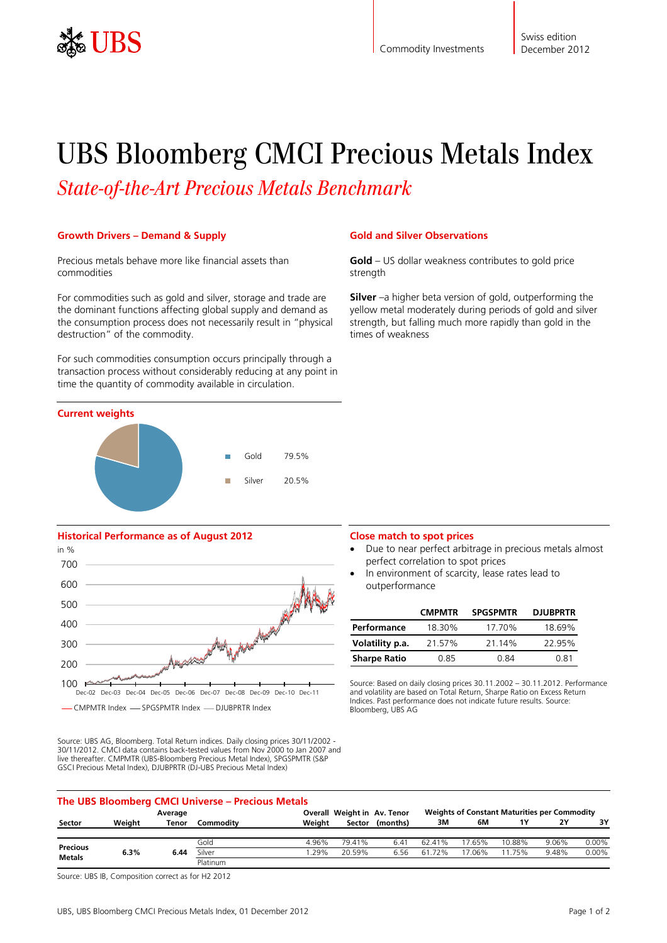

# UBS Bloomberg CMCI Precious Metals Index

*State-of-the-Art Precious Metals Benchmark*

## **Growth Drivers – Demand & Supply**

Precious metals behave more like financial assets than commodities

For commodities such as gold and silver, storage and trade are the dominant functions affecting global supply and demand as the consumption process does not necessarily result in "physical destruction" of the commodity.

For such commodities consumption occurs principally through a transaction process without considerably reducing at any point in time the quantity of commodity available in circulation.



# **Historical Performance as of August 2012**



Source: UBS AG, Bloomberg. Total Return indices. Daily closing prices 30/11/2002 - 30/11/2012. CMCI data contains back-tested values from Nov 2000 to Jan 2007 and live thereafter. CMPMTR (UBS-Bloomberg Precious Metal Index), SPGSPMTR (S&P GSCI Precious Metal Index), DJUBPRTR (DJ-UBS Precious Metal Index)

### **Gold and Silver Observations**

**Gold** – US dollar weakness contributes to gold price strength

**Silver** –a higher beta version of gold, outperforming the yellow metal moderately during periods of gold and silver strength, but falling much more rapidly than gold in the times of weakness

#### **Close match to spot prices**

- Due to near perfect arbitrage in precious metals almost perfect correlation to spot prices
- In environment of scarcity, lease rates lead to outperformance

|                     | <b>CMPMTR</b> | <b>SPGSPMTR</b> | <b>DJUBPRTR</b> |
|---------------------|---------------|-----------------|-----------------|
| Performance         | 18.30%        | 17.70%          | 18.69%          |
| Volatility p.a.     | 21.57%        | 21.14%          | 22.95%          |
| <b>Sharpe Ratio</b> | 0.85          | 0.84            | 0.81            |

Source: Based on daily closing prices 30.11.2002 – 30.11.2012. Performance and volatility are based on Total Return, Sharpe Ratio on Excess Return Indices. Past performance does not indicate future results. Source: Bloomberg, UBS AG

| The UBS Bloomberg CMCI Universe – Precious Metals |        |       |           |                             |                                                     |                 |        |        |        |       |          |
|---------------------------------------------------|--------|-------|-----------|-----------------------------|-----------------------------------------------------|-----------------|--------|--------|--------|-------|----------|
| Average                                           |        |       |           | Overall Weight in Av. Tenor | <b>Weights of Constant Maturities per Commodity</b> |                 |        |        |        |       |          |
| Sector                                            | Weiaht | Tenor | Commodity | Weiaht                      |                                                     | Sector (months) | 3M     | 6M     |        | 2Y    | 3Υ       |
|                                                   |        |       | Gold      | 4.96%                       | 79.41%                                              | 6.41            | 62.41% | 17.65% | 10.88% | 9.06% | $0.00\%$ |
| Precious<br><b>Metals</b>                         | 6.3%   | 6.44  | Silver    | .29%                        | 20.59%                                              | 6.56            | 61.72% | 17.06% | 11.75% | 9.48% | $0.00\%$ |
|                                                   |        |       | Platinum  |                             |                                                     |                 |        |        |        |       |          |

Source: UBS IB, Composition correct as for H2 2012